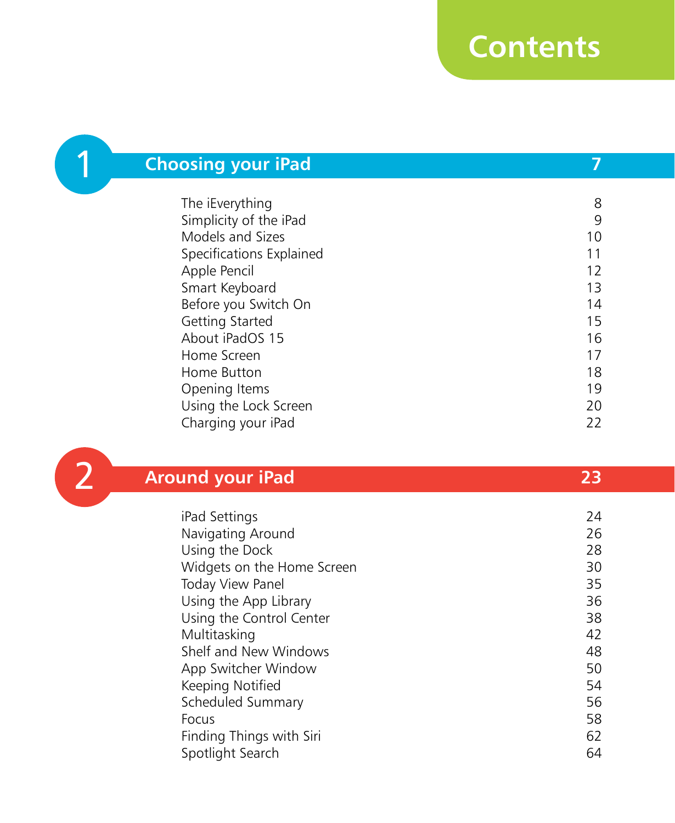### **Contents**

### **Choosing your iPad 7**

| The iEverything          | 8  |
|--------------------------|----|
| Simplicity of the iPad   | 9  |
| <b>Models and Sizes</b>  | 10 |
| Specifications Explained | 11 |
| Apple Pencil             | 12 |
| Smart Keyboard           | 13 |
| Before you Switch On     | 14 |
| Getting Started          | 15 |
| About iPadOS 15          | 16 |
| Home Screen              | 17 |
| Home Button              | 18 |
| Opening Items            | 19 |
| Using the Lock Screen    | 20 |
| Charging your iPad       | 22 |

2

1

### **Around your iPad 23**

| iPad Settings              | 24 |
|----------------------------|----|
| Navigating Around          | 26 |
| Using the Dock             | 28 |
| Widgets on the Home Screen | 30 |
| Today View Panel           | 35 |
| Using the App Library      | 36 |
| Using the Control Center   | 38 |
| Multitasking               | 42 |
| Shelf and New Windows      | 48 |
| App Switcher Window        | 50 |
| Keeping Notified           | 54 |
| Scheduled Summary          | 56 |
| <b>Focus</b>               | 58 |
| Finding Things with Siri   | 62 |
| Spotlight Search           | 64 |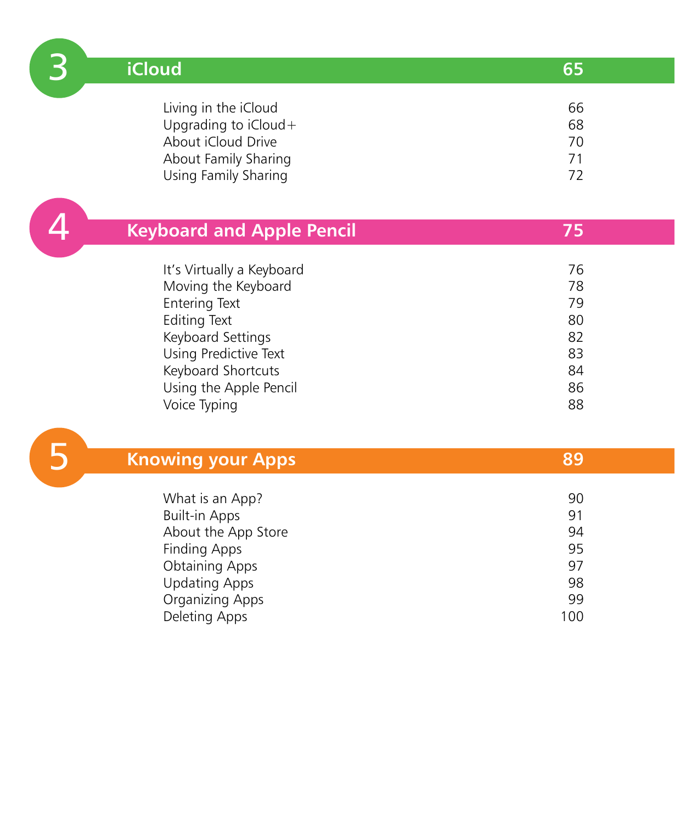| <b>iCloud</b>                                                                                                                                                                                                 | 65                                                 |
|---------------------------------------------------------------------------------------------------------------------------------------------------------------------------------------------------------------|----------------------------------------------------|
| Living in the iCloud<br>Upgrading to iCloud+<br>About iCloud Drive<br>About Family Sharing<br>Using Family Sharing                                                                                            | 66<br>68<br>70<br>71<br>72                         |
| <b>Keyboard and Apple Pencil</b>                                                                                                                                                                              | 75                                                 |
| It's Virtually a Keyboard<br>Moving the Keyboard<br><b>Entering Text</b><br><b>Editing Text</b><br>Keyboard Settings<br>Using Predictive Text<br>Keyboard Shortcuts<br>Using the Apple Pencil<br>Voice Typing | 76<br>78<br>79<br>80<br>82<br>83<br>84<br>86<br>88 |
| <b>Knowing your Apps</b>                                                                                                                                                                                      | 89                                                 |

| <b>Keyboard and Apple Pencil</b>                                                                                                                                                       | 75                                           |
|----------------------------------------------------------------------------------------------------------------------------------------------------------------------------------------|----------------------------------------------|
| It's Virtually a Keyboard<br>Moving the Keyboard<br><b>Entering Text</b><br>Editing Text<br>Keyboard Settings<br>Using Predictive Text<br>Keyboard Shortcuts<br>Using the Apple Pencil | 76<br>78<br>79<br>80<br>82<br>83<br>84<br>86 |
| Voice Typing                                                                                                                                                                           | 88                                           |

5

 $\overline{4}$ 

### **Knowing your Apps 89**

| What is an App?       | 90  |
|-----------------------|-----|
| <b>Built-in Apps</b>  | 91  |
| About the App Store   | 94  |
| Finding Apps          | 95  |
| <b>Obtaining Apps</b> | 97  |
| <b>Updating Apps</b>  | 98  |
| Organizing Apps       | 99  |
| Deleting Apps         | 100 |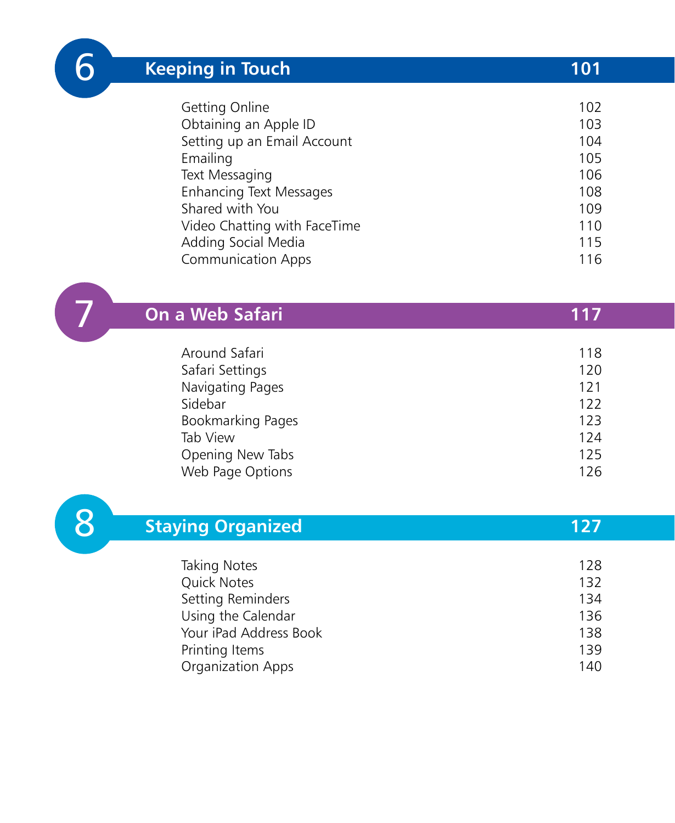| 101 |
|-----|
|     |
| 102 |
| 103 |
| 104 |
| 105 |
| 106 |
|     |

| <b>Enhancing Text Messages</b> | 108 |
|--------------------------------|-----|
| Shared with You                | 109 |
| Video Chatting with FaceTime   | 110 |
| Adding Social Media            | 115 |
| <b>Communication Apps</b>      | 116 |

| <b>On a Web Safari</b> |     |
|------------------------|-----|
|                        |     |
| Around Safari          | 118 |
| Safari Settings        | 120 |
| Navigating Pages       | 121 |
| Sidebar                | 122 |
| Bookmarking Pages      | 123 |
| Tab View               | 124 |
| Opening New Tabs       | 125 |
| Web Page Options       | 126 |



 $7<sup>1</sup>$ 

6

### **Staying Organized 127**

| Taking Notes           | 128 |
|------------------------|-----|
| Quick Notes            | 132 |
| Setting Reminders      | 134 |
| Using the Calendar     | 136 |
| Your iPad Address Book | 138 |
| Printing Items         | 139 |
| Organization Apps      | 140 |
|                        |     |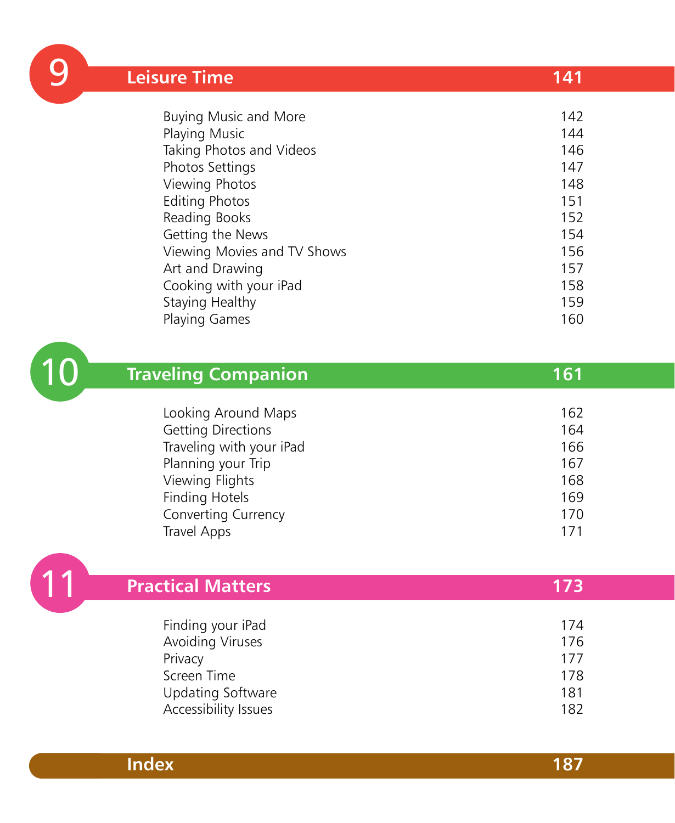| <b>Leisure Time</b>          | 141 |
|------------------------------|-----|
|                              |     |
| <b>Buying Music and More</b> | 142 |
| Playing Music                | 144 |
| Taking Photos and Videos     | 146 |
| Photos Settings              | 147 |
| Viewing Photos               | 148 |
| <b>Editing Photos</b>        | 151 |
| Reading Books                | 152 |
| Getting the News             | 154 |
| Viewing Movies and TV Shows  | 156 |
| Art and Drawing              | 157 |
| Cooking with your iPad       | 158 |
| Staying Healthy              | 159 |
| <b>Playing Games</b>         | 160 |



9

| <b>Traveling Companion</b> | 161 |
|----------------------------|-----|
|                            |     |
| Looking Around Maps        | 162 |
| <b>Getting Directions</b>  | 164 |
| Traveling with your iPad   | 166 |
| Planning your Trip         | 167 |
| Viewing Flights            | 168 |
| Finding Hotels             | 169 |
| <b>Converting Currency</b> | 170 |
| <b>Travel Apps</b>         | 171 |



| <b>Practical Matters</b> |  | 173 |
|--------------------------|--|-----|
|--------------------------|--|-----|

| 174 |
|-----|
| 176 |
| 177 |
| 178 |
| 181 |
| 182 |
|     |

**Index 187**

Travel Apps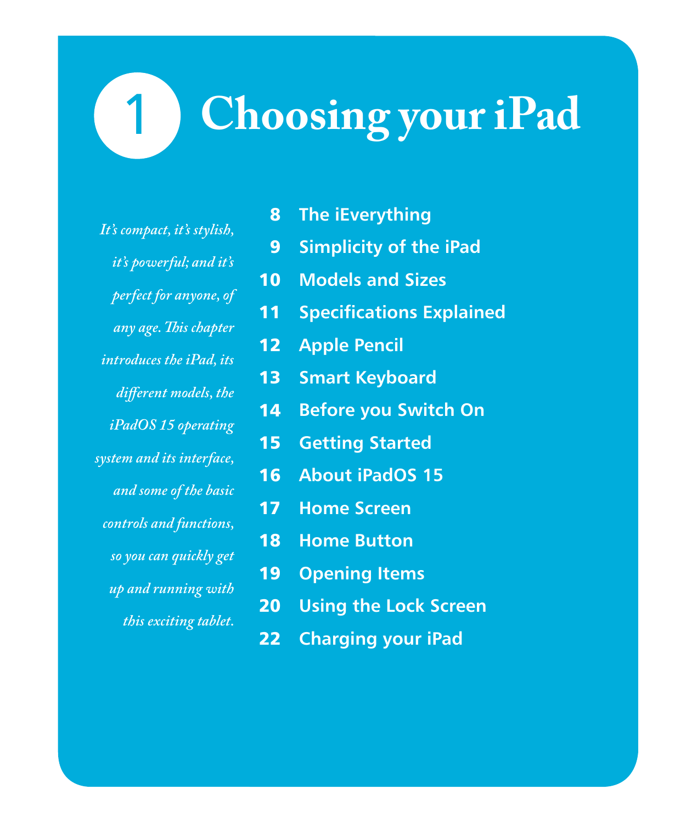# 1 **Choosing your iPad**

*It's compact, it's stylish, it's powerful; and it's perfect for anyone, of any age. This chapter introduces the iPad, its different models, the iPadOS 15 operating system and its interface, and some of the basic controls and functions, so you can quickly get up and running with this exciting tablet.*

- **The iEverything** 8
- **Simplicity of the iPad** 9
- **Models and Sizes** 10
- **Specifications Explained** 11
- **Apple Pencil** 12
- **Smart Keyboard** 13
- **Before you Switch On** 14
- **Getting Started** 15
- **About iPadOS 15** 16
- **Home Screen** 17
- **Home Button** 18
- **Opening Items** 19
- **Using the Lock Screen** 20
- **Charging your iPad** 22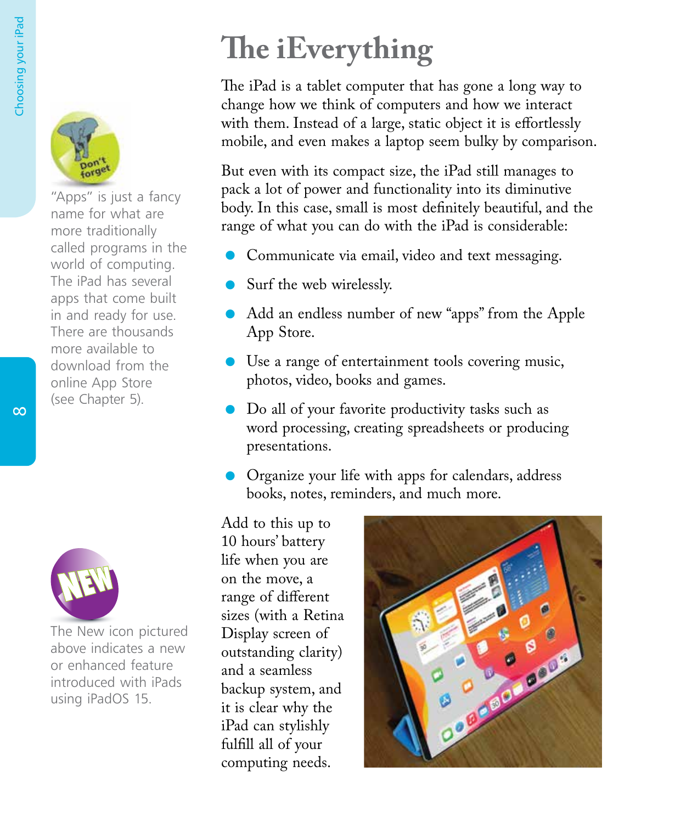

"Apps" is just a fancy name for what are more traditionally called programs in the world of computing. The iPad has several apps that come built in and ready for use. There are thousands more available to download from the online App Store (see Chapter 5).



The New icon pictured above indicates a new or enhanced feature introduced with iPads using iPadOS 15.

## **The iEverything**

The iPad is a tablet computer that has gone a long way to change how we think of computers and how we interact with them. Instead of a large, static object it is effortlessly mobile, and even makes a laptop seem bulky by comparison.

But even with its compact size, the iPad still manages to pack a lot of power and functionality into its diminutive body. In this case, small is most definitely beautiful, and the range of what you can do with the iPad is considerable:

- **•** Communicate via email, video and text messaging.
- **•** Surf the web wirelessly.
- Add an endless number of new "apps" from the Apple App Store.
- Use a range of entertainment tools covering music, photos, video, books and games.
- **•** Do all of your favorite productivity tasks such as word processing, creating spreadsheets or producing presentations.
- **•** Organize your life with apps for calendars, address books, notes, reminders, and much more.

Add to this up to 10 hours' battery life when you are on the move, a range of different sizes (with a Retina Display screen of outstanding clarity) and a seamless backup system, and it is clear why the iPad can stylishly fulfill all of your computing needs.

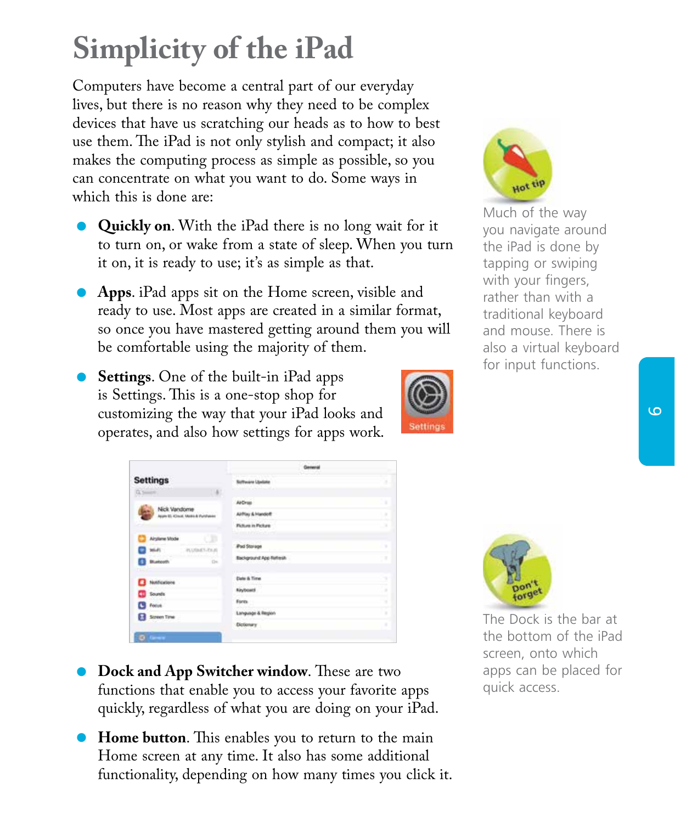### **Simplicity of the iPad**

Computers have become a central part of our everyday lives, but there is no reason why they need to be complex devices that have us scratching our heads as to how to best use them. The iPad is not only stylish and compact; it also makes the computing process as simple as possible, so you can concentrate on what you want to do. Some ways in which this is done are:

- **• Quickly on**. With the iPad there is no long wait for it to turn on, or wake from a state of sleep. When you turn it on, it is ready to use; it's as simple as that.
- **• Apps**. iPad apps sit on the Home screen, visible and ready to use. Most apps are created in a similar format, so once you have mastered getting around them you will be comfortable using the majority of them.
- **• Settings**. One of the built-in iPad apps is Settings. This is a one-stop shop for customizing the way that your iPad looks and operates, and also how settings for apps work.



- **• Dock and App Switcher window**. These are two functions that enable you to access your favorite apps quickly, regardless of what you are doing on your iPad.
- **• Home button**. This enables you to return to the main Home screen at any time. It also has some additional functionality, depending on how many times you click it.



Much of the way you navigate around the iPad is done by tapping or swiping with your fingers, rather than with a traditional keyboard and mouse. There is also a virtual keyboard for input functions.



The Dock is the bar at the bottom of the iPad screen, onto which apps can be placed for quick access.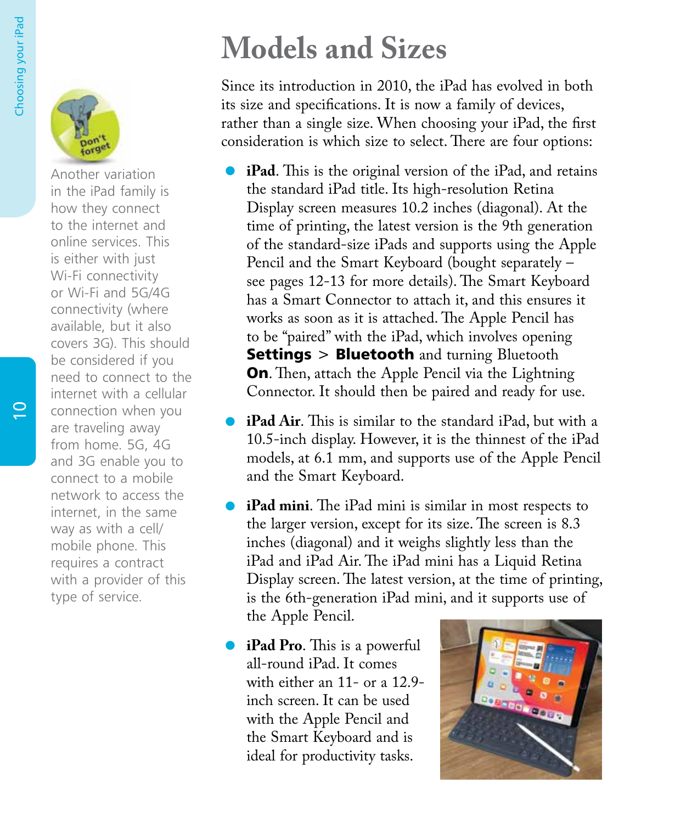

Another variation in the iPad family is how they connect to the internet and online services. This is either with just Wi-Fi connectivity or Wi-Fi and 5G/4G connectivity (where available, but it also covers 3G). This should be considered if you need to connect to the internet with a cellular connection when you are traveling away from home. 5G, 4G and 3G enable you to connect to a mobile network to access the internet, in the same way as with a cell/ mobile phone. This requires a contract with a provider of this type of service.

## **Models and Sizes**

Since its introduction in 2010, the iPad has evolved in both its size and specifications. It is now a family of devices, rather than a single size. When choosing your iPad, the first consideration is which size to select. There are four options:

- **• iPad**. This is the original version of the iPad, and retains the standard iPad title. Its high-resolution Retina Display screen measures 10.2 inches (diagonal). At the time of printing, the latest version is the 9th generation of the standard-size iPads and supports using the Apple Pencil and the Smart Keyboard (bought separately – see pages 12-13 for more details). The Smart Keyboard has a Smart Connector to attach it, and this ensures it works as soon as it is attached. The Apple Pencil has to be "paired" with the iPad, which involves opening **Settings > Bluetooth** and turning Bluetooth **On.** Then, attach the Apple Pencil via the Lightning Connector. It should then be paired and ready for use.
- **• iPad Air**. This is similar to the standard iPad, but with a 10.5-inch display. However, it is the thinnest of the iPad models, at 6.1 mm, and supports use of the Apple Pencil and the Smart Keyboard.
- **• iPad mini**. The iPad mini is similar in most respects to the larger version, except for its size. The screen is 8.3 inches (diagonal) and it weighs slightly less than the iPad and iPad Air. The iPad mini has a Liquid Retina Display screen. The latest version, at the time of printing, is the 6th-generation iPad mini, and it supports use of the Apple Pencil.
- *iPad Pro.* This is a powerful all-round iPad. It comes with either an 11- or a 12.9 inch screen. It can be used with the Apple Pencil and the Smart Keyboard and is ideal for productivity tasks.

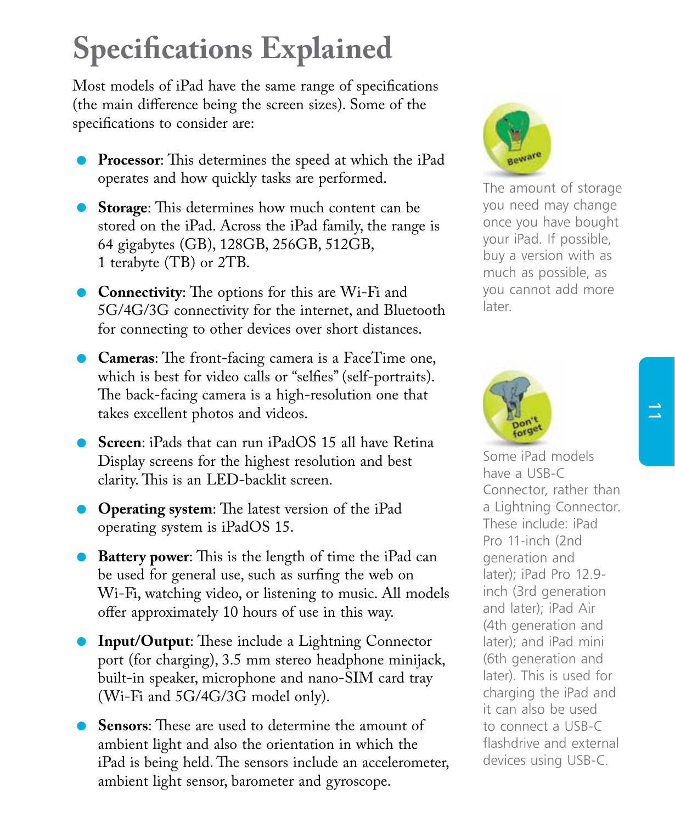### **Specifications Explained**

Most models of iPad have the same range of specifications (the main difference being the screen sizes). Some of the specifications to consider are:

- **Processor:** This determines the speed at which the iPad operates and how quickly tasks are performed.
- **Storage:** This determines how much content can be stored on the iPad. Across the iPad family, the range is 64 gigabytes (GB), 128GB, 256GB, 512GB, 1 terabyte (TB) or 2TB.
- **Connectivity**: The options for this are Wi-Fi and 5G/4G/3G connectivity for the internet, and Bluetooth for connecting to other devices over short distances.
- **Cameras**: The front-facing camera is a FaceTime one, which is best for video calls or "selfies" (self-portraits). The back-facing camera is a high-resolution one that takes excellent photos and videos.
- **Screen**: iPads that can run iPadOS 15 all have Retina Display screens for the highest resolution and best clarity. This is an LED-backlit screen.
- **Operating system**: The latest version of the iPad operating system is iPadOS 15.
- **Battery power:** This is the length of time the iPad can be used for general use, such as surfing the web on Wi-Fi, watching video, or listening to music. All models offer approximately 10 hours of use in this way.
- **Input/Output:** These include a Lightning Connector port (for charging), 3.5 mm stereo headphone minijack, built-in speaker, microphone and nano-SIM card tray (Wi-Fi and 5G/4G/3G model only).
- **Sensors:** These are used to determine the amount of ambient light and also the orientation in which the iPad is being held. The sensors include an accelerometer, ambient light sensor, barometer and gyroscope.



The amount of storage you need may change once you have bought your iPad. If possible, buy a version with as much as possible, as you cannot add more later.



Some iPad models have a USB-C Connector, rather than a Lightning Connector. These include: iPad Pro 11-inch (2nd generation and later); iPad Pro 12.9 inch (3rd generation and later); iPad Air (4th generation and later); and iPad mini (6th generation and later). This is used for charging the iPad and it can also be used to connect a USB-C flashdrive and external devices using USB-C.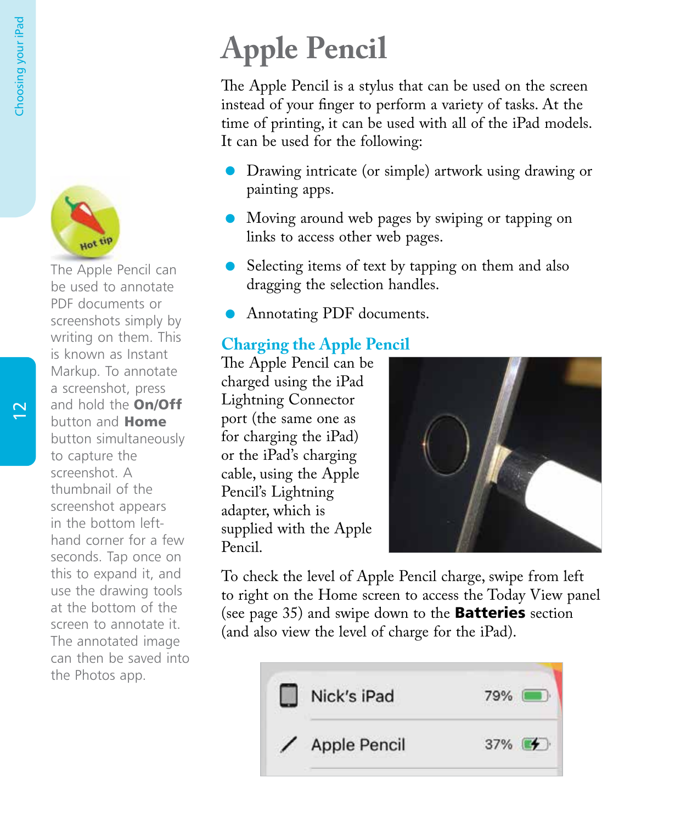

The Apple Pencil can be used to annotate PDF documents or screenshots simply by writing on them. This is known as Instant Markup. To annotate a screenshot, press and hold the **On/Off** button and **Home** button simultaneously to capture the screenshot. A thumbnail of the screenshot appears in the bottom lefthand corner for a few seconds. Tap once on this to expand it, and use the drawing tools at the bottom of the screen to annotate it. The annotated image can then be saved into the Photos app.

## **Apple Pencil**

The Apple Pencil is a stylus that can be used on the screen instead of your finger to perform a variety of tasks. At the time of printing, it can be used with all of the iPad models. It can be used for the following:

- Drawing intricate (or simple) artwork using drawing or painting apps.
- Moving around web pages by swiping or tapping on links to access other web pages.
- Selecting items of text by tapping on them and also dragging the selection handles.
- Annotating PDF documents.

#### **Charging the Apple Pencil**

The Apple Pencil can be charged using the iPad Lightning Connector port (the same one as for charging the iPad) or the iPad's charging cable, using the Apple Pencil's Lightning adapter, which is supplied with the Apple Pencil.



To check the level of Apple Pencil charge, swipe from left to right on the Home screen to access the Today View panel (see page 35) and swipe down to the **Batteries** section (and also view the level of charge for the iPad).

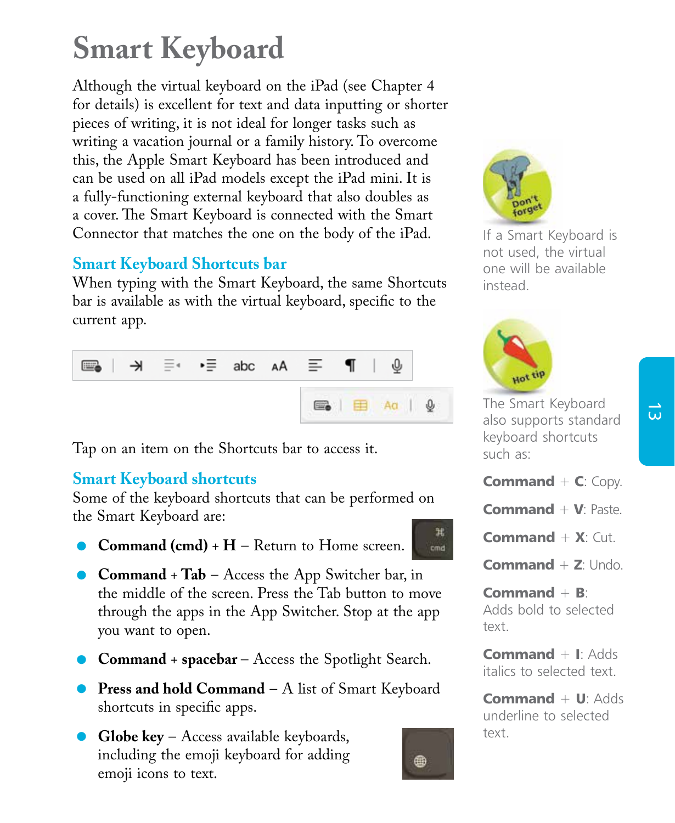### **Smart Keyboard**

Although the virtual keyboard on the iPad (see Chapter 4 for details) is excellent for text and data inputting or shorter pieces of writing, it is not ideal for longer tasks such as writing a vacation journal or a family history. To overcome this, the Apple Smart Keyboard has been introduced and can be used on all iPad models except the iPad mini. It is a fully-functioning external keyboard that also doubles as a cover. The Smart Keyboard is connected with the Smart Connector that matches the one on the body of the iPad.

#### **Smart Keyboard Shortcuts bar**

When typing with the Smart Keyboard, the same Shortcuts bar is available as with the virtual keyboard, specific to the current app.



Tap on an item on the Shortcuts bar to access it.

#### **Smart Keyboard shortcuts**

Some of the keyboard shortcuts that can be performed on the Smart Keyboard are:

- **Command (cmd)** + **H** Return to Home screen.
- ж  $cmd$
- **Command** + **Tab** Access the App Switcher bar, in the middle of the screen. Press the Tab button to move through the apps in the App Switcher. Stop at the app you want to open.
- **Command** + **spacebar**  Access the Spotlight Search.
- **Press and hold Command** A list of Smart Keyboard shortcuts in specific apps.
- **Globe key** Access available keyboards, including the emoji keyboard for adding emoji icons to text.





If a Smart Keyboard is not used, the virtual one will be available instead.



The Smart Keyboard also supports standard keyboard shortcuts such as:

**Command**  $+$  **C: Copy.** 

Command + V: Paste

**Command**  $+$  **X: Cut.** 

**Command**  $+$  **Z: Undo.** 

Command  $+$  B: Adds bold to selected text.

**Command**  $+$  **I**: Adds italics to selected text.

**Command**  $+$  **U**: Adds underline to selected text.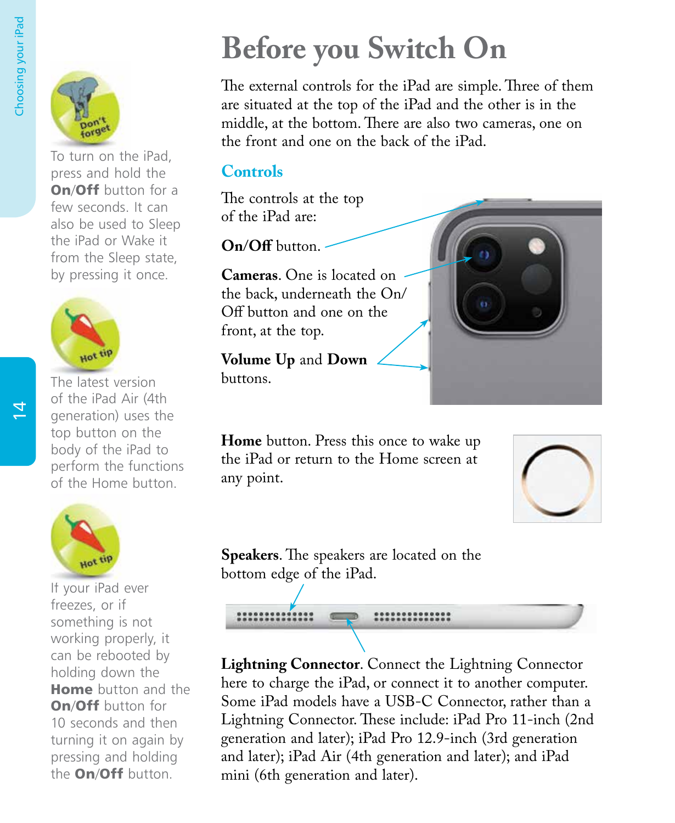

To turn on the iPad, press and hold the **On/Off** button for a few seconds. It can also be used to Sleep the iPad or Wake it from the Sleep state, by pressing it once.



The latest version of the iPad Air (4th generation) uses the top button on the body of the iPad to perform the functions of the Home button.



If your iPad ever freezes, or if something is not working properly, it can be rebooted by holding down the Home button and the On/Off button for 10 seconds and then turning it on again by pressing and holding the **On/Off** button.

### **Before you Switch On**

The external controls for the iPad are simple. Three of them are situated at the top of the iPad and the other is in the middle, at the bottom. There are also two cameras, one on the front and one on the back of the iPad.

#### **Controls**

The controls at the top of the iPad are:

**On**/**Off** button.

**Cameras**. One is located on the back, underneath the On/ Off button and one on the front, at the top.

**Volume Up** and **Down** buttons.

**Home** button. Press this once to wake up the iPad or return to the Home screen at any point.





**Speakers**. The speakers are located on the bottom edge of the iPad.



**Lightning Connector**. Connect the Lightning Connector here to charge the iPad, or connect it to another computer. Some iPad models have a USB-C Connector, rather than a Lightning Connector. These include: iPad Pro 11-inch (2nd generation and later); iPad Pro 12.9-inch (3rd generation and later); iPad Air (4th generation and later); and iPad mini (6th generation and later).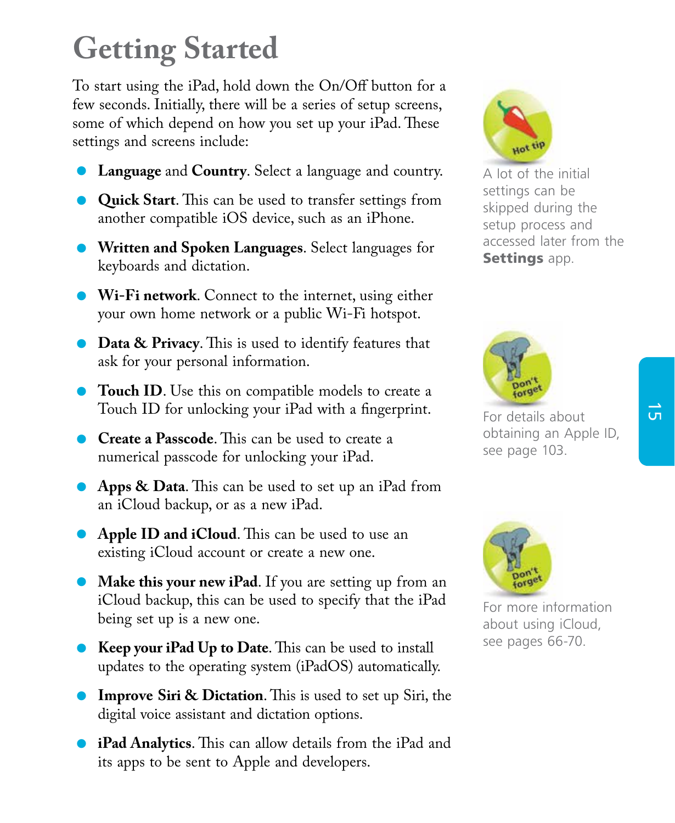### **Getting Started**

To start using the iPad, hold down the On/Off button for a few seconds. Initially, there will be a series of setup screens, some of which depend on how you set up your iPad. These settings and screens include:

- **Language** and **Country**. Select a language and country.
- **Quick Start**. This can be used to transfer settings from another compatible iOS device, such as an iPhone.
- **Written and Spoken Languages**. Select languages for keyboards and dictation.
- **Wi-Fi network**. Connect to the internet, using either your own home network or a public Wi-Fi hotspot.
- **Data & Privacy**. This is used to identify features that ask for your personal information.
- **Touch ID**. Use this on compatible models to create a Touch ID for unlocking your iPad with a fingerprint.
- **Create a Passcode**. This can be used to create a numerical passcode for unlocking your iPad.
- **Apps & Data**. This can be used to set up an iPad from an iCloud backup, or as a new iPad.
- Apple **ID** and **iCloud**. This can be used to use an existing iCloud account or create a new one.
- **Make this your new iPad**. If you are setting up from an iCloud backup, this can be used to specify that the iPad being set up is a new one.
- **Keep your iPad Up to Date.** This can be used to install updates to the operating system (iPadOS) automatically.
- **Improve Siri & Dictation**. This is used to set up Siri, the digital voice assistant and dictation options.
- **iPad Analytics**. This can allow details from the iPad and its apps to be sent to Apple and developers.



A lot of the initial settings can be skipped during the setup process and accessed later from the Settings app.



 $\vec{5}$ 



see page 103.

For more information about using iCloud, see pages 66-70.

obtaining an Apple ID,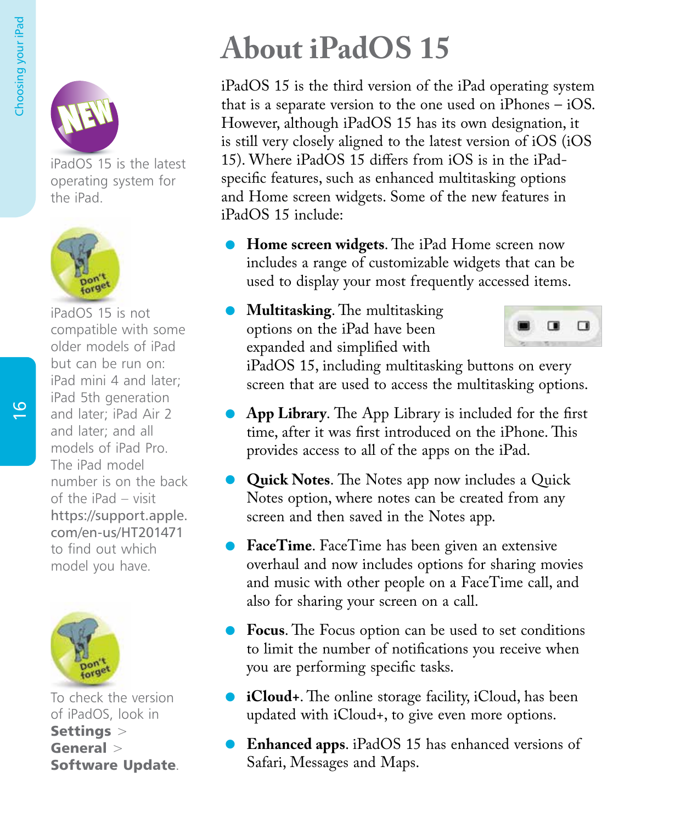

iPadOS 15 is the latest operating system for the iPad.



iPadOS 15 is not compatible with some older models of iPad but can be run on: iPad mini 4 and later; iPad 5th generation and later; iPad Air 2 and later; and all models of iPad Pro. The iPad model number is on the back of the iPad – visit https://support.apple. com/en-us/HT201471 to find out which model you have.



To check the version of iPadOS, look in Settings > General > Software Update.

## **About iPadOS 15**

iPadOS 15 is the third version of the iPad operating system that is a separate version to the one used on iPhones – iOS. However, although iPadOS 15 has its own designation, it is still very closely aligned to the latest version of iOS (iOS 15). Where iPadOS 15 differs from iOS is in the iPadspecific features, such as enhanced multitasking options and Home screen widgets. Some of the new features in iPadOS 15 include:

- **Home screen widgets**. The iPad Home screen now includes a range of customizable widgets that can be used to display your most frequently accessed items.
- **Multitasking**. The multitasking options on the iPad have been expanded and simplified with



iPadOS 15, including multitasking buttons on every screen that are used to access the multitasking options.

- **App Library**. The App Library is included for the first time, after it was first introduced on the iPhone. This provides access to all of the apps on the iPad.
- **Quick Notes**. The Notes app now includes a Quick Notes option, where notes can be created from any screen and then saved in the Notes app.
- **FaceTime.** FaceTime has been given an extensive overhaul and now includes options for sharing movies and music with other people on a FaceTime call, and also for sharing your screen on a call.
- **Focus**. The Focus option can be used to set conditions to limit the number of notifications you receive when you are performing specific tasks.
- **iCloud+**. The online storage facility, iCloud, has been updated with iCloud+, to give even more options.
- **Enhanced apps**. iPadOS 15 has enhanced versions of Safari, Messages and Maps.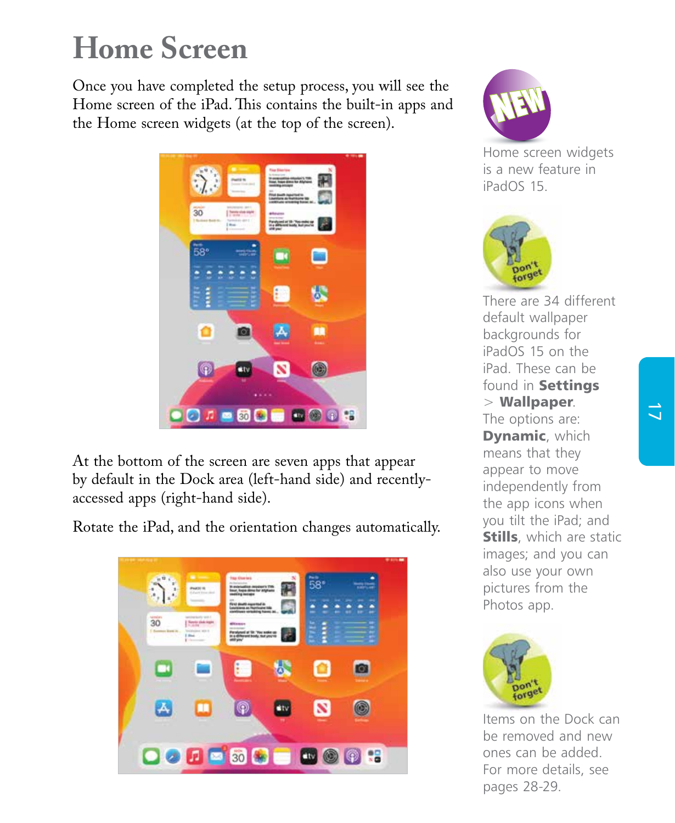### **Home Screen**

Once you have completed the setup process, you will see the Home screen of the iPad. This contains the built-in apps and the Home screen widgets (at the top of the screen).



At the bottom of the screen are seven apps that appear by default in the Dock area (left-hand side) and recentlyaccessed apps (right-hand side).

Rotate the iPad, and the orientation changes automatically.





Home screen widgets is a new feature in iPadOS 15.



There are 34 different default wallpaper backgrounds for iPadOS 15 on the iPad. These can be found in Settings > Wallpaper. The options are: **Dynamic, which** means that they appear to move independently from the app icons when you tilt the iPad; and **Stills**, which are static images; and you can also use your own pictures from the Photos app.



Items on the Dock can be removed and new ones can be added. For more details, see pages 28-29.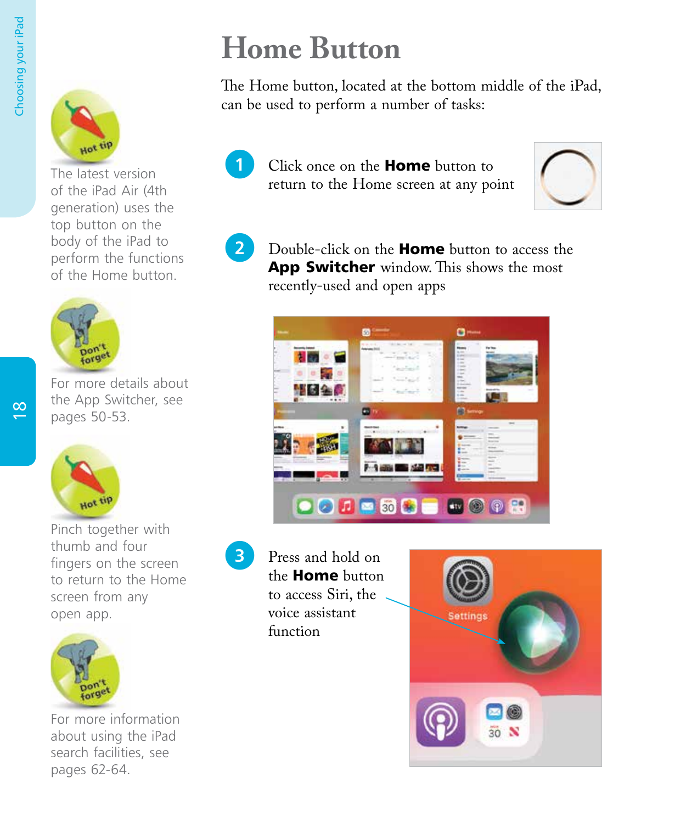

The latest version of the iPad Air (4th generation) uses the top button on the body of the iPad to perform the functions of the Home button.



For more details about the App Switcher, see pages 50-53.



Pinch together with thumb and four fingers on the screen to return to the Home screen from any open app.



For more information about using the iPad search facilities, see pages 62-64.

### **Home Button**

The Home button, located at the bottom middle of the iPad, can be used to perform a number of tasks:

1 Click once on the **Home** button to return to the Home screen at any point



**2** Double-click on the **Home** button to access the **App Switcher** window. This shows the most recently-used and open apps



**3** Press and hold on the Home button to access Siri, the voice assistant function

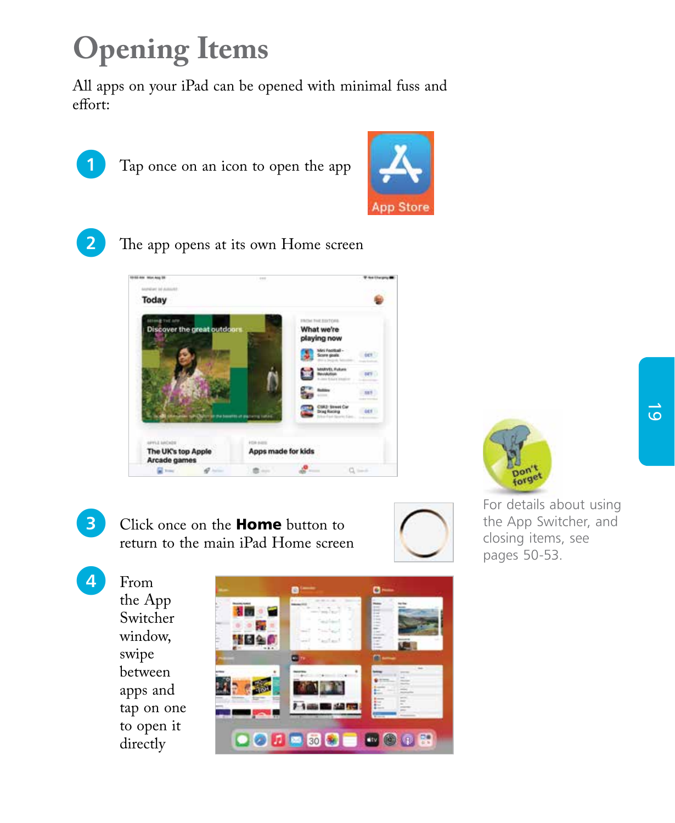## **Opening Items**

All apps on your iPad can be opened with minimal fuss and effort:



l**<sup>1</sup>** Tap once on an icon to open the app





**2** The app opens at its own Home screen



**3** Click once on the **Home** button to return to the main iPad Home screen



forget For details about using the App Switcher, and closing items, see pages 50-53.

**Dou** 

l**<sup>4</sup>** From the App Switcher window, swipe between apps and tap on one to open it directly

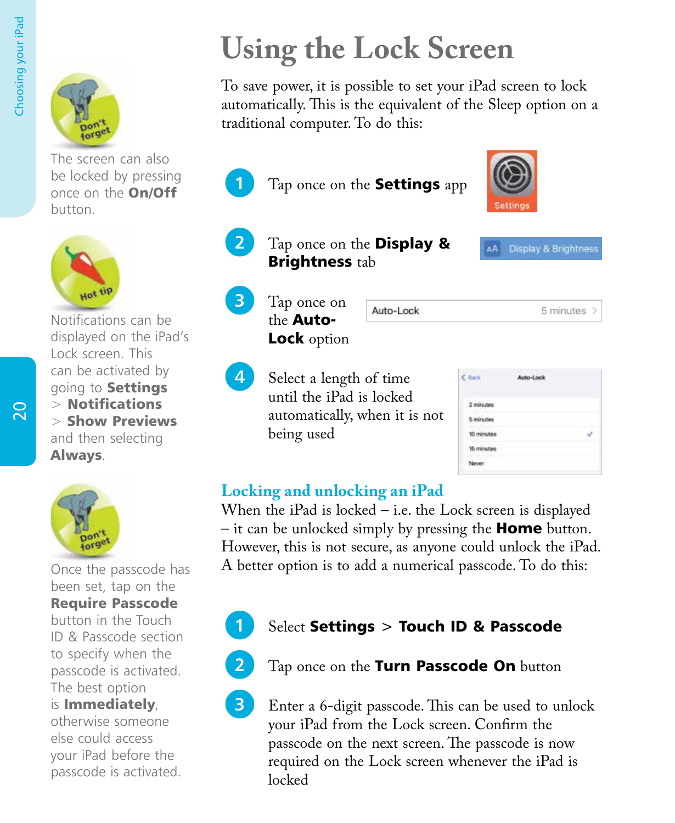

The screen can also be locked by pressing once on the **On/Off** button.



Notifications can be displayed on the iPad's Lock screen. This can be activated by going to Settings > Notifications > Show Previews and then selecting Always.



Once the passcode has been set, tap on the Require Passcode button in the Touch ID & Passcode section to specify when the passcode is activated. The best option is Immediately, otherwise someone else could access your iPad before the passcode is activated.

## **Using the Lock Screen**

To save power, it is possible to set your iPad screen to lock automatically. This is the equivalent of the Sleep option on a traditional computer. To do this:

|                |                                                                                                  | Tap once on the <b>Settings</b> app | Settings                                              |
|----------------|--------------------------------------------------------------------------------------------------|-------------------------------------|-------------------------------------------------------|
| $\overline{2}$ | Tap once on the <b>Display &amp;</b><br><b>Display &amp; Brightness</b><br><b>Brightness</b> tab |                                     |                                                       |
| 3              | Tap once on<br>the Auto-<br><b>Lock</b> option                                                   | Auto-Lock                           | $5$ minutes $>$                                       |
| 4              | Select a length of time<br>until the iPad is locked<br>automatically, when it is not             |                                     | <b>C</b> flack<br>Auto-Lock<br>2 minutes<br>5 minutes |

5 minutes 10 minutes 15 minutes

#### **Locking and unlocking an iPad**

being used

When the iPad is locked – i.e. the Lock screen is displayed – it can be unlocked simply by pressing the **Home** button. However, this is not secure, as anyone could unlock the iPad. A better option is to add a numerical passcode. To do this:

- 
- l**<sup>1</sup>** Select Settings > Touch ID & Passcode
- **2** Tap once on the Turn Passcode On button

**3** Enter a 6-digit passcode. This can be used to unlock your iPad from the Lock screen. Confirm the passcode on the next screen. The passcode is now required on the Lock screen whenever the iPad is locked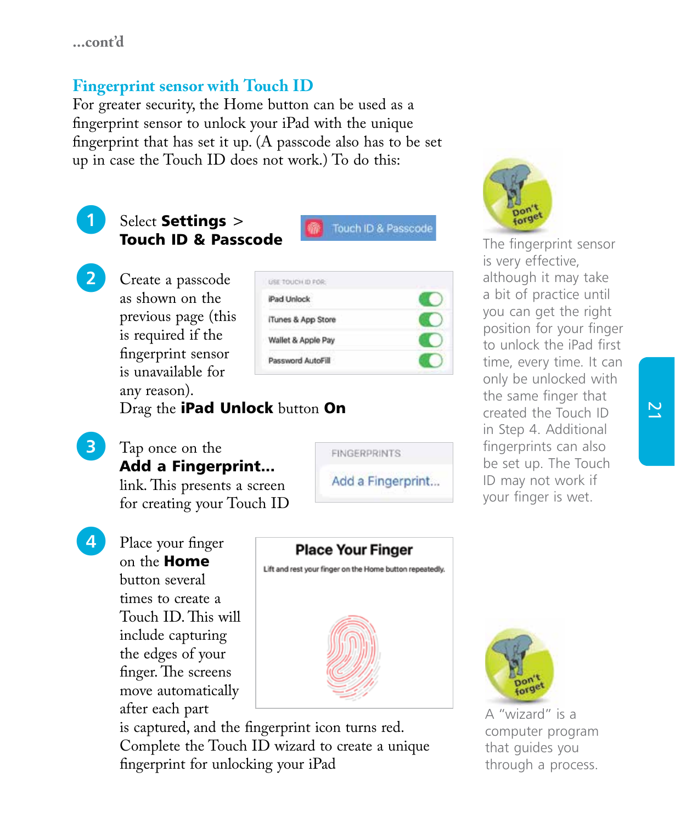#### **Fingerprint sensor with Touch ID**

For greater security, the Home button can be used as a fingerprint sensor to unlock your iPad with the unique fingerprint that has set it up. (A passcode also has to be set up in case the Touch ID does not work.) To do this:





The fingerprint sensor is very effective, although it may take a bit of practice until you can get the right position for your finger to unlock the iPad first time, every time. It can only be unlocked with the same finger that created the Touch ID in Step 4. Additional fingerprints can also be set up. The Touch ID may not work if your finger is wet.

**4** Place your finger on the Home button several times to create a Touch ID. This will include capturing the edges of your finger. The screens move automatically after each part



#### **Place Your Finger**



is captured, and the fingerprint icon turns red. Complete the Touch ID wizard to create a unique fingerprint for unlocking your iPad



A "wizard" is a computer program that guides you through a process.